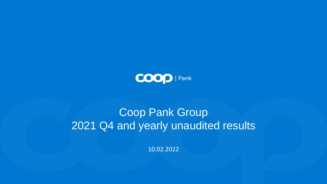

# Coop Pank Group 2021 Q4 and yearly unaudited results

10.02.2022

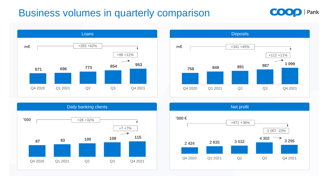# Business volumes in quarterly comparison

**Deposits** 











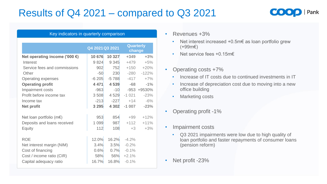# Results of Q4 2021 – compared to Q3 2021

| Key indicators in quarterly comparison  |                 |         |                     |         |  |  |
|-----------------------------------------|-----------------|---------|---------------------|---------|--|--|
|                                         | Q4 2021 Q3 2021 |         | Quarterly<br>change |         |  |  |
| Net operating income ('000 $\epsilon$ ) | 10 676          | 10 327  | $+349$              | $+3%$   |  |  |
| <b>Interest</b>                         | 9 8 24          | 9 3 4 5 | $+479$              | $+5%$   |  |  |
| Service fees and commissions            | 902             | 752     | $+150$              | $+20%$  |  |  |
| <b>Other</b>                            | $-50$           | 230     | $-280$              | $-122%$ |  |  |
| <b>Operating expenses</b>               | $-6205$         | $-5788$ | $-417$              | $+7%$   |  |  |
| <b>Operating profit</b>                 | 4 4 7 1         | 4539    | $-68$               | $-1\%$  |  |  |
| <b>Impairment costs</b>                 | $-963$          | $-10$   | $-953$              | +9530%  |  |  |
| Profit before income tax                | 3508            | 4 5 29  | $-1021$             | $-23%$  |  |  |
| Income tax                              | $-213$          | $-227$  | $+14$               | $-6%$   |  |  |
| <b>Net profit</b>                       | 3 2 9 5         | 4 3 0 2 | $-1007$             | $-23%$  |  |  |
| Net loan portfolio (m $\epsilon$ )      | 953             | 854     | $+99$               | $+12%$  |  |  |
| Deposits and loans received             | 1 0 9 9         | 987     | $+112$              | $+11%$  |  |  |
| <b>Equity</b>                           | 112             | 108     | $+3$                | $+3%$   |  |  |
| <b>ROE</b>                              | 12.0%           | 16.2%   | $-4.2%$             |         |  |  |
| Net interest margin (NIM)               | 3.4%            | 3.5%    | $-0.2%$             |         |  |  |
| Cost of financing                       | 0.6%            | 0.7%    | $-0.1\%$            |         |  |  |
| Cost / income ratio (CIR)               | 58%             | 56%     | $+2.1%$             |         |  |  |
| Capital adequacy ratio                  | 16.7%           | 16.8%   | $-0.1\%$            |         |  |  |



- Revenues +3%
	- Net interest increased +0.5m€ as loan portfolio grew (+99m€)
	- Net service fees +0.15m€
- Operating costs +7%
	- Increase of IT costs due to continued investments in IT
	- Increase of depreciation cost due to moving into a new office building
	- Marketing costs
- Operating profit -1%
- Impairment costs
	- Q3 2021 impairments were low due to high quality of loan portfolio and faster repayments of consumer loans (pension reform)
- Net profit -23%



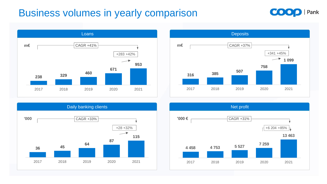# **Business volumes in yearly comparison**









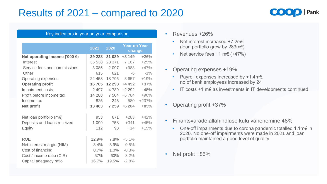# Results of 2021 – compared to 2020

| Key indicators in year on year comparison |          |          |                               |         |  |  |  |
|-------------------------------------------|----------|----------|-------------------------------|---------|--|--|--|
|                                           |          |          |                               |         |  |  |  |
|                                           | 2021     | 2020     | <b>Year on Year</b><br>change |         |  |  |  |
| Net operating income ('000 $\epsilon$ )   | 39 238   | 31 089   | $+8149$                       | $+26%$  |  |  |  |
| <b>Interest</b>                           | 35 538   | 28 371   | $+7$ 167                      | $+25%$  |  |  |  |
| Service fees and commissions              | 3 0 8 5  | 2 0 9 7  | +988                          | $+47%$  |  |  |  |
| <b>Other</b>                              | 615      | 621      | -6                            | $-1\%$  |  |  |  |
| <b>Operating expenses</b>                 | $-22453$ | $-18796$ | $-3657$                       | $+19%$  |  |  |  |
| <b>Operating profit</b>                   | 16785    | 12 293   | $+4492$                       | $+37%$  |  |  |  |
| <b>Impairment costs</b>                   | $-2497$  | $-4789$  | $+2292$                       | $-48%$  |  |  |  |
| Profit before income tax                  | 14 288   | 7 504    | $+6784$                       | $+90%$  |  |  |  |
| Income tax                                | $-825$   | $-245$   | $-580$                        | $+237%$ |  |  |  |
| <b>Net profit</b>                         | 13 463   | 7 259    | $+6204$                       | $+85%$  |  |  |  |
|                                           |          |          |                               |         |  |  |  |
| Net loan portfolio ( $m \in$ )            | 953      | 671      | $+283$                        | $+42%$  |  |  |  |
| Deposits and loans received               | 1 0 9 9  | 758      | $+341$                        | $+45%$  |  |  |  |
| <b>Equity</b>                             | 112      | 98       | $+14$                         | $+15%$  |  |  |  |
|                                           |          |          |                               |         |  |  |  |
| <b>ROE</b>                                | 12.9%    | 7.8%     | $+5.1%$                       |         |  |  |  |
| Net interest margin (NIM)                 | 3.4%     | 3.9%     | $-0.5%$                       |         |  |  |  |
| Cost of financing                         | 0.7%     | 1.0%     | $-0.3%$                       |         |  |  |  |
| Cost / income ratio (CIR)                 | 57%      | 60%      | $-3.2%$                       |         |  |  |  |
| Capital adequacy ratio                    | 16.7%    | 19.5%    | $-2.8%$                       |         |  |  |  |



- Revenues +26%
	- Net interest increased +7.2m€ (loan portfolio grew by 283m€)
	- Net service fees  $+1$  m€ ( $+47\%$ )
- Operating expenses +19%
	- Payroll expenses increased by +1.4m€, no of bank employees increased by 24
	- IT costs +1 m€ as investments in IT developments continued
- Operating profit +37%
- Finantsvarade allahindluse kulu vähenemine 48%
	- One-off impairments due to corona pandemic totalled 1.1m€ in 2020. No one-off impairments were made in 2021 and loan portfolio maintained a good level of quality
- Net profit +85%

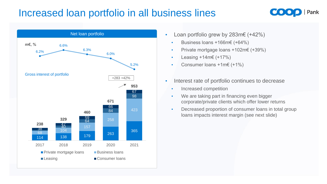# Increased loan portfolio in all business lines

- Net loan portfolio Loan portfolio grew by 283m€ (+42%)
	- Business loans +166m€ (+64%)
	- Private mortgage loans +102m€ (+39%)
	- Leasing  $+14m \in (+17\%)$
	- Consumer loans +1m€ (+1%)
	- Interest rate of portfolio continues to decrease
		- Increased competition
		- We are taking part in financing even bigger corporate/private clients which offer lower returns
		- Decreased proportion of consumer loans in total group loans impacts interest margin (see next slide)







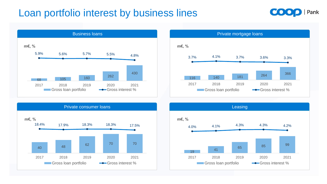# Loan portfolio interest by business lines









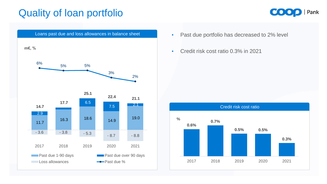

# Quality of loan portfolio

- 
- Credit risk cost ratio 0.3% in 2021









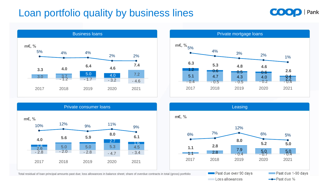# Loan portfolio quality by business lines











Total residual of loan principal amounts past due; loss allowances in balance sheet; share of overdue contracts in total (gross) portfolio

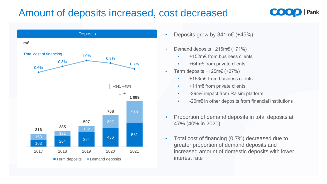# Amount of deposits increased, cost decreased

- Deposits Deposits grew by 341m€ (+45%)
	- Demand deposits +216m€ (+71%)
		- +152m€ from business clients
		- +64m€ from private clients
	- Term deposits  $+125$ m€ (+27%)
		- +163m€ from business clients
		- +11m€ from private clients
		- -29m€ impact from Raisini platform
		- -20m€ in other deposits from financial institutions
	- Proportion of demand deposits in total deposits at 47% (40% in 2020)
	- Total cost of financing (0.7%) decreased due to greater proportion of demand deposits and increased amount of domestic deposits with lower interest rate







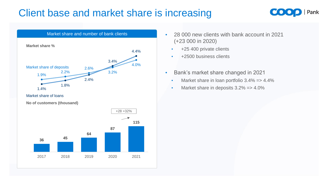# Client base and market share is increasing





- Market share and number of bank clients  **28 000 new clients with bank account in 2021** (+23 000 in 2020)
	- +25 400 private clients
	- +2500 business clients
	- Bank's market share changed in 2021
		- Market share in loan portfolio 3.4% = > 4.4%
		- Market share in deposits  $3.2\% = > 4.0\%$



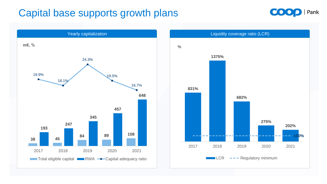# Capital base supports growth plans





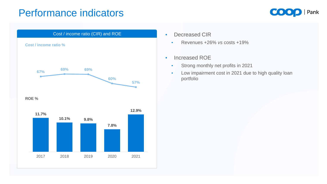## Performance indicators

- - Revenues +26% *vs* costs +19%
- Increased ROE
	- Strong monthly net profits in 2021
	- Low impairment cost in 2021 due to high quality loan portfolio







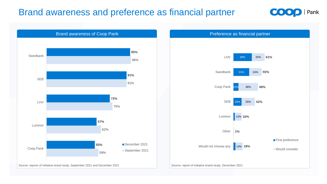### Brand awareness and preference as financial partner

#### Preference as financial partner







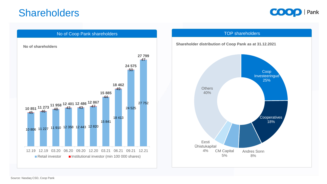## Shareholders













#### **Shareholder distribution of Coop Pank as at 31.12.2021**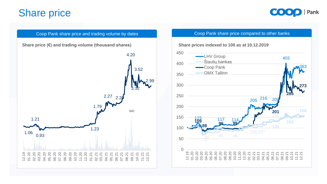





### **Share price**

**Share price (€) and trading volume (thousand shares)**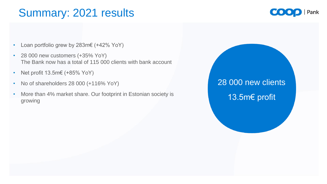# Summary: 2021 results

# 28 000 new clients 13.5m€ profit





- Loan portfolio grew by 283m€ (+42% YoY)
- 28 000 new customers (+35% YoY) The Bank now has a total of 115 000 clients with bank account
- Net profit  $13.5m \in (+85\%$  YoY)
- No of shareholders 28 000 (+116% YoY)
- More than 4% market share. Our footprint in Estonian society is growing

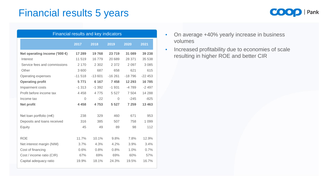# Financial results 5 years

| <b>Financial results and key indicators</b> |                |          |                |          |          |  |  |  |
|---------------------------------------------|----------------|----------|----------------|----------|----------|--|--|--|
|                                             | 2017           | 2018     | 2019           | 2020     | 2021     |  |  |  |
| Net operating income ('000 $\epsilon$ )     | 17 289         | 19768    | 23 719         | 31 089   | 39 238   |  |  |  |
| Interest                                    | 11519          | 16779    | 20 689         | 28 371   | 35 538   |  |  |  |
| Service fees and commissions                | 2 1 7 0        | 2 3 0 2  | 2 3 7 2        | 2 0 9 7  | 3 0 8 5  |  |  |  |
| Other                                       | 3600           | 687      | 658            | 621      | 615      |  |  |  |
| <b>Operating expenses</b>                   | $-11518$       | $-13601$ | $-16261$       | $-18796$ | $-22453$ |  |  |  |
| <b>Operating profit</b>                     | 5 7 7 1        | 6 1 6 7  | 7458           | 12 293   | 16785    |  |  |  |
| <b>Impairment costs</b>                     | $-1313$        | $-1392$  | $-1931$        | $-4789$  | $-2497$  |  |  |  |
| Profit before income tax                    | 4 4 5 8        | 4 7 7 5  | 5 5 2 7        | 7 5 0 4  | 14 2 8 8 |  |  |  |
| Income tax                                  | $\overline{0}$ | $-22$    | $\overline{O}$ | $-245$   | $-825$   |  |  |  |
| <b>Net profit</b>                           | 4 4 5 8        | 4753     | 5 5 2 7        | 7 259    | 13 4 63  |  |  |  |
|                                             |                |          |                |          |          |  |  |  |
| Net loan portfolio ( $m \in$ )              | 238            | 329      | 460            | 671      | 953      |  |  |  |
| Deposits and loans received                 | 316            | 385      | 507            | 758      | 1 0 9 9  |  |  |  |
| <b>Equity</b>                               | 45             | 49       | 89             | 98       | 112      |  |  |  |
|                                             |                |          |                |          |          |  |  |  |
| <b>ROE</b>                                  | 11.7%          | 10.1%    | 9.8%           | 7.8%     | 12.9%    |  |  |  |
| Net interest margin (NIM)                   | 3.7%           | 4.3%     | 4.2%           | 3.9%     | 3.4%     |  |  |  |
| Cost of financing                           | 0.6%           | 0.8%     | 0.8%           | 1.0%     | 0.7%     |  |  |  |
| Cost / income ratio (CIR)                   | 67%            | 69%      | 69%            | 60%      | 57%      |  |  |  |
| Capital adequacy ratio                      | 19.9%          | 18.1%    | 24.3%          | 19.5%    | 16.7%    |  |  |  |
|                                             |                |          |                |          |          |  |  |  |



- On average +40% yearly increase in business volumes
- Increased profitability due to economies of scale resulting in higher ROE and better CIR



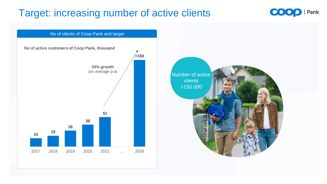# Target: increasing number of active clients

Number of active clients >150 000









A Contra Lucia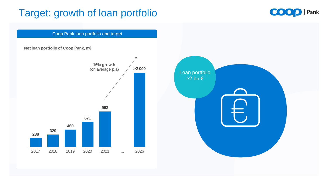# Target: growth of loan portfolio











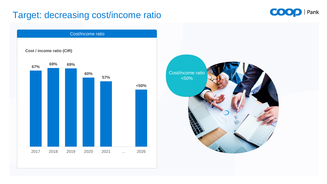### Target: decreasing cost/income ratio











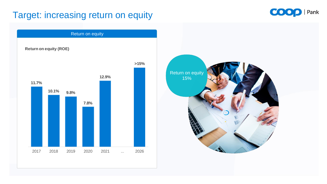### Target: increasing return on equity